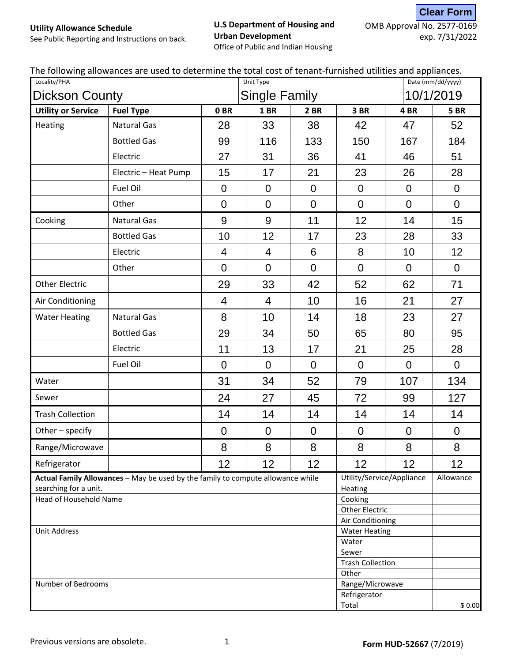#### **U.S Department of Housing and Urban Development** Office of Public and Indian Housing

OMB Approval No. 2577-0169 exp. 7/31/2022 **Clear Form**

See Public Reporting and Instructions on back.

| Locality/PHA                                           |                                                                                 | Unit Type        |                      |                | تحجب بحبيب مالمانية المح<br>Date (mm/dd/yyyy) |                           |                  |
|--------------------------------------------------------|---------------------------------------------------------------------------------|------------------|----------------------|----------------|-----------------------------------------------|---------------------------|------------------|
| <b>Dickson County</b>                                  |                                                                                 |                  | <b>Single Family</b> |                |                                               | 10/1/2019                 |                  |
| <b>Utility or Service</b>                              | <b>Fuel Type</b>                                                                | 0 <sub>BR</sub>  | <b>1 BR</b>          | <b>2 BR</b>    | 3 BR                                          | 4BR                       | <b>5 BR</b>      |
| Heating                                                | <b>Natural Gas</b>                                                              | 28               | 33                   | 38             | 42                                            | 47                        | 52               |
|                                                        | <b>Bottled Gas</b>                                                              | 99               | 116                  | 133            | 150                                           | 167                       | 184              |
|                                                        | Electric                                                                        | 27               | 31                   | 36             | 41                                            | 46                        | 51               |
|                                                        | Electric - Heat Pump                                                            | 15               | 17                   | 21             | 23                                            | 26                        | 28               |
|                                                        | Fuel Oil                                                                        | $\mathbf 0$      | $\mathbf 0$          | $\overline{0}$ | $\overline{0}$                                | $\mathbf 0$               | $\overline{0}$   |
|                                                        | Other                                                                           | $\mathbf 0$      | $\mathbf 0$          | $\overline{0}$ | $\overline{0}$                                | $\overline{0}$            | $\overline{0}$   |
| Cooking                                                | Natural Gas                                                                     | 9                | 9                    | 11             | 12                                            | 14                        | 15               |
|                                                        | <b>Bottled Gas</b>                                                              | 10               | 12                   | 17             | 23                                            | 28                        | 33               |
|                                                        | Electric                                                                        | 4                | 4                    | $6\phantom{1}$ | 8                                             | 10                        | 12               |
|                                                        | Other                                                                           | $\mathbf 0$      | $\mathbf 0$          | $\overline{0}$ | $\mathbf 0$                                   | $\mathbf 0$               | $\overline{0}$   |
| <b>Other Electric</b>                                  |                                                                                 | 29               | 33                   | 42             | 52                                            | 62                        | 71               |
| Air Conditioning                                       |                                                                                 | 4                | $\overline{4}$       | 10             | 16                                            | 21                        | 27               |
| <b>Water Heating</b>                                   | <b>Natural Gas</b>                                                              | 8                | 10                   | 14             | 18                                            | 23                        | 27               |
|                                                        | <b>Bottled Gas</b>                                                              | 29               | 34                   | 50             | 65                                            | 80                        | 95               |
|                                                        | Electric                                                                        | 11               | 13                   | 17             | 21                                            | 25                        | 28               |
|                                                        | Fuel Oil                                                                        | $\overline{0}$   | $\overline{0}$       | $\overline{0}$ | $\overline{0}$                                | $\overline{0}$            | $\overline{0}$   |
| Water                                                  |                                                                                 | 31               | 34                   | 52             | 79                                            | 107                       | 134              |
| Sewer                                                  |                                                                                 | 24               | 27                   | 45             | 72                                            | 99                        | 127              |
| <b>Trash Collection</b>                                |                                                                                 | 14               | 14                   | 14             | 14                                            | 14                        | 14               |
| Other - specify                                        |                                                                                 | $\boldsymbol{0}$ | $\boldsymbol{0}$     | $\mathbf 0$    | $\mathbf 0$                                   | $\mathbf 0$               | $\boldsymbol{0}$ |
| Range/Microwave                                        |                                                                                 | 8                | 8                    | 8              | 8                                             | 8                         | 8                |
| Refrigerator                                           |                                                                                 | 12               | 12                   | 12             | 12                                            | 12                        | 12               |
|                                                        | Actual Family Allowances - May be used by the family to compute allowance while |                  |                      |                |                                               | Utility/Service/Appliance | Allowance        |
| searching for a unit.<br><b>Head of Household Name</b> |                                                                                 |                  |                      |                | Heating<br>Cooking                            |                           |                  |
|                                                        |                                                                                 |                  |                      |                | <b>Other Electric</b>                         |                           |                  |
|                                                        |                                                                                 |                  |                      |                | Air Conditioning                              |                           |                  |
| <b>Unit Address</b>                                    |                                                                                 |                  |                      |                | <b>Water Heating</b>                          |                           |                  |
|                                                        |                                                                                 |                  |                      |                | Water                                         |                           |                  |
|                                                        |                                                                                 | Sewer            |                      |                |                                               |                           |                  |
|                                                        |                                                                                 |                  |                      |                | <b>Trash Collection</b>                       |                           |                  |
|                                                        |                                                                                 |                  |                      |                | Other                                         |                           |                  |
| Number of Bedrooms                                     |                                                                                 |                  |                      |                | Range/Microwave<br>Refrigerator               |                           |                  |
|                                                        |                                                                                 |                  |                      |                |                                               |                           | \$0.00           |
| Total                                                  |                                                                                 |                  |                      |                |                                               |                           |                  |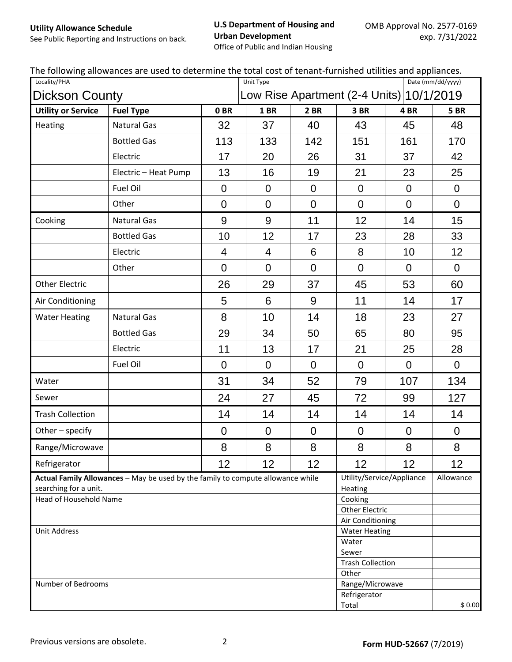#### **U.S Department of Housing and Urban Development**

See Public Reporting and Instructions on back.

Office of Public and Indian Housing

|  | The following allowances are used to determine the total cost of tenant-furnished utilities and appliances. |  |  |
|--|-------------------------------------------------------------------------------------------------------------|--|--|
|--|-------------------------------------------------------------------------------------------------------------|--|--|

| Locality/PHA              |                                                                                 | of corrante railingitoa a<br>Date (mm/dd/yyyy)<br>Unit Type |                                  |                |                                          |                           |                  |
|---------------------------|---------------------------------------------------------------------------------|-------------------------------------------------------------|----------------------------------|----------------|------------------------------------------|---------------------------|------------------|
|                           | <b>Dickson County</b>                                                           |                                                             |                                  |                | Low Rise Apartment (2-4 Units) 10/1/2019 |                           |                  |
| <b>Utility or Service</b> | <b>Fuel Type</b>                                                                | 0 <sub>BR</sub>                                             | 1BR                              | 2 BR           | 3BR                                      | 4BR                       | <b>5 BR</b>      |
| Heating                   | <b>Natural Gas</b>                                                              | 32                                                          | 37                               | 40             | 43                                       | 45                        | 48               |
|                           | <b>Bottled Gas</b>                                                              | 113                                                         | 133                              | 142            | 151                                      | 161                       | 170              |
|                           | Electric                                                                        | 17                                                          | 20                               | 26             | 31                                       | 37                        | 42               |
|                           | Electric - Heat Pump                                                            | 13                                                          | 16                               | 19             | 21                                       | 23                        | 25               |
|                           | Fuel Oil                                                                        | $\overline{0}$                                              | $\overline{0}$                   | $\overline{0}$ | $\overline{0}$                           | $\overline{0}$            | $\mathbf 0$      |
|                           | Other                                                                           | $\mathbf 0$                                                 | $\overline{0}$                   | $\Omega$       | $\overline{0}$                           | $\overline{0}$            | $\overline{0}$   |
| Cooking                   | <b>Natural Gas</b>                                                              | 9                                                           | $9\,$                            | 11             | 12                                       | 14                        | 15               |
|                           | <b>Bottled Gas</b>                                                              | 10                                                          | 12                               | 17             | 23                                       | 28                        | 33               |
|                           | Electric                                                                        | 4                                                           | 4                                | 6              | 8                                        | 10                        | 12               |
|                           | Other                                                                           | $\overline{0}$                                              | $\overline{0}$                   | $\overline{0}$ | $\overline{0}$                           | $\overline{0}$            | $\overline{0}$   |
| <b>Other Electric</b>     |                                                                                 | 26                                                          | 29                               | 37             | 45                                       | 53                        | 60               |
| Air Conditioning          |                                                                                 | 5                                                           | 6                                | 9              | 11                                       | 14                        | 17               |
| <b>Water Heating</b>      | <b>Natural Gas</b>                                                              | 8                                                           | 10                               | 14             | 18                                       | 23                        | 27               |
|                           | <b>Bottled Gas</b>                                                              | 29                                                          | 34                               | 50             | 65                                       | 80                        | 95               |
|                           | Electric                                                                        | 11                                                          | 13                               | 17             | 21                                       | 25                        | 28               |
|                           | Fuel Oil                                                                        | $\overline{0}$                                              | $\mathbf 0$                      | $\Omega$       | $\overline{0}$                           | $\overline{0}$            | $\overline{0}$   |
| Water                     |                                                                                 | 31                                                          | 34                               | 52             | 79                                       | 107                       | 134              |
| Sewer                     |                                                                                 | 24                                                          | 27                               | 45             | 72                                       | 99                        | 127              |
| <b>Trash Collection</b>   |                                                                                 | 14                                                          | 14                               | 14             | 14                                       | 14                        | 14               |
| Other - specify           |                                                                                 | $\boldsymbol{0}$                                            | $\boldsymbol{0}$                 | $\pmb{0}$      | $\boldsymbol{0}$                         | $\boldsymbol{0}$          | $\boldsymbol{0}$ |
| Range/Microwave           |                                                                                 | 8                                                           | 8                                | 8              | 8                                        | 8                         | 8                |
| Refrigerator              |                                                                                 | 12                                                          | 12                               | 12             | 12                                       | 12                        | 12               |
|                           | Actual Family Allowances - May be used by the family to compute allowance while |                                                             |                                  |                |                                          | Utility/Service/Appliance | Allowance        |
| searching for a unit.     |                                                                                 |                                                             |                                  |                | Heating                                  |                           |                  |
| Head of Household Name    |                                                                                 |                                                             | Cooking<br><b>Other Electric</b> |                |                                          |                           |                  |
|                           |                                                                                 |                                                             |                                  |                | Air Conditioning                         |                           |                  |
| <b>Unit Address</b>       |                                                                                 |                                                             | <b>Water Heating</b>             |                |                                          |                           |                  |
| Water                     |                                                                                 |                                                             |                                  |                |                                          |                           |                  |
| Sewer                     |                                                                                 |                                                             |                                  |                |                                          |                           |                  |
|                           |                                                                                 |                                                             |                                  |                | <b>Trash Collection</b>                  |                           |                  |
|                           |                                                                                 |                                                             |                                  |                | Other                                    |                           |                  |
| Number of Bedrooms        |                                                                                 |                                                             |                                  |                | Range/Microwave                          |                           |                  |
|                           |                                                                                 |                                                             |                                  |                | Refrigerator                             |                           |                  |
|                           |                                                                                 |                                                             |                                  |                | Total                                    |                           | \$0.00           |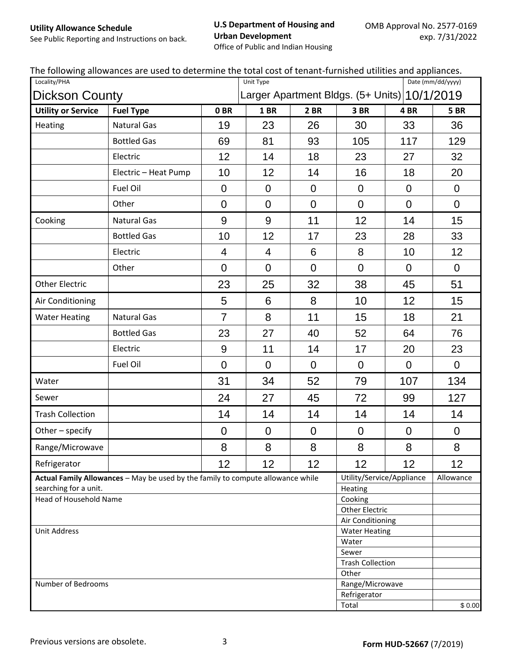#### **U.S Department of Housing and Urban Development**

See Public Reporting and Instructions on back.

Office of Public and Indian Housing

| $5.00$ and $1.000$ and $1.000$ and $1.000$ and $1.000$ and $1.000$ and $1.000$ and $1.000$ and $1.000$ and $1.000$ and $1.000$ and $1.000$ and $1.000$ and $1.000$ and $1.000$ and $1.000$ and $1.000$ and $1.000$ and $1.000$<br>Locality/PHA |                                                                                 | 0. CONTRAIS . QUINTING QU<br>Date (mm/dd/yyyy)<br>Unit Type |                |                         |                                              |                  |                  |
|------------------------------------------------------------------------------------------------------------------------------------------------------------------------------------------------------------------------------------------------|---------------------------------------------------------------------------------|-------------------------------------------------------------|----------------|-------------------------|----------------------------------------------|------------------|------------------|
| <b>Dickson County</b>                                                                                                                                                                                                                          |                                                                                 |                                                             |                |                         | Larger Apartment Bldgs. (5+ Units) 10/1/2019 |                  |                  |
| <b>Utility or Service</b>                                                                                                                                                                                                                      | <b>Fuel Type</b>                                                                | 0BR                                                         | <b>1 BR</b>    | 2 BR                    | 3 BR                                         | 4BR              | <b>5 BR</b>      |
| Heating                                                                                                                                                                                                                                        | <b>Natural Gas</b>                                                              | 19                                                          | 23             | 26                      | 30                                           | 33               | 36               |
|                                                                                                                                                                                                                                                | <b>Bottled Gas</b>                                                              | 69                                                          | 81             | 93                      | 105                                          | 117              | 129              |
|                                                                                                                                                                                                                                                | Electric                                                                        | 12                                                          | 14             | 18                      | 23                                           | 27               | 32               |
|                                                                                                                                                                                                                                                | Electric - Heat Pump                                                            | 10                                                          | 12             | 14                      | 16                                           | 18               | 20               |
|                                                                                                                                                                                                                                                | Fuel Oil                                                                        | $\mathbf 0$                                                 | $\overline{0}$ | $\overline{0}$          | $\mathbf 0$                                  | $\mathbf 0$      | $\mathbf 0$      |
|                                                                                                                                                                                                                                                | Other                                                                           | $\overline{0}$                                              | $\overline{0}$ | $\overline{0}$          | $\overline{0}$                               | $\overline{0}$   | $\overline{0}$   |
| Cooking                                                                                                                                                                                                                                        | <b>Natural Gas</b>                                                              | 9                                                           | 9              | 11                      | 12                                           | 14               | 15               |
|                                                                                                                                                                                                                                                | <b>Bottled Gas</b>                                                              | 10                                                          | 12             | 17                      | 23                                           | 28               | 33               |
|                                                                                                                                                                                                                                                | Electric                                                                        | 4                                                           | 4              | 6                       | 8                                            | 10               | 12               |
|                                                                                                                                                                                                                                                | Other                                                                           | $\overline{0}$                                              | $\mathbf 0$    | $\overline{0}$          | $\mathbf 0$                                  | $\overline{0}$   | $\overline{0}$   |
| <b>Other Electric</b>                                                                                                                                                                                                                          |                                                                                 | 23                                                          | 25             | 32                      | 38                                           | 45               | 51               |
| Air Conditioning                                                                                                                                                                                                                               |                                                                                 | 5                                                           | 6              | 8                       | 10                                           | 12               | 15               |
| <b>Water Heating</b>                                                                                                                                                                                                                           | <b>Natural Gas</b>                                                              | $\overline{7}$                                              | 8              | 11                      | 15                                           | 18               | 21               |
|                                                                                                                                                                                                                                                | <b>Bottled Gas</b>                                                              | 23                                                          | 27             | 40                      | 52                                           | 64               | 76               |
|                                                                                                                                                                                                                                                | Electric                                                                        | $9\,$                                                       | 11             | 14                      | 17                                           | 20               | 23               |
|                                                                                                                                                                                                                                                | Fuel Oil                                                                        | $\overline{0}$                                              | $\mathbf 0$    | $\overline{0}$          | $\overline{0}$                               | $\overline{0}$   | $\overline{0}$   |
| Water                                                                                                                                                                                                                                          |                                                                                 | 31                                                          | 34             | 52                      | 79                                           | 107              | 134              |
| Sewer                                                                                                                                                                                                                                          |                                                                                 | 24                                                          | 27             | 45                      | 72                                           | 99               | 127              |
| <b>Trash Collection</b>                                                                                                                                                                                                                        |                                                                                 | 14                                                          | 14             | 14                      | 14                                           | 14               | 14               |
| Other - specify                                                                                                                                                                                                                                |                                                                                 | $\boldsymbol{0}$                                            | $\pmb{0}$      | $\boldsymbol{0}$        | $\boldsymbol{0}$                             | $\boldsymbol{0}$ | $\boldsymbol{0}$ |
| Range/Microwave                                                                                                                                                                                                                                |                                                                                 | 8                                                           | 8              | 8                       | 8                                            | 8                | 8                |
| Refrigerator                                                                                                                                                                                                                                   |                                                                                 | 12                                                          | 12             | 12 <sub>2</sub>         | 12                                           | 12               | 12               |
|                                                                                                                                                                                                                                                | Actual Family Allowances - May be used by the family to compute allowance while |                                                             |                |                         | Utility/Service/Appliance                    |                  | Allowance        |
| searching for a unit.<br>Head of Household Name                                                                                                                                                                                                |                                                                                 |                                                             |                |                         | Heating<br>Cooking                           |                  |                  |
|                                                                                                                                                                                                                                                |                                                                                 |                                                             |                |                         | <b>Other Electric</b>                        |                  |                  |
|                                                                                                                                                                                                                                                |                                                                                 |                                                             |                |                         | Air Conditioning                             |                  |                  |
| <b>Unit Address</b>                                                                                                                                                                                                                            |                                                                                 |                                                             |                |                         | <b>Water Heating</b>                         |                  |                  |
|                                                                                                                                                                                                                                                |                                                                                 |                                                             |                |                         |                                              | Water            |                  |
|                                                                                                                                                                                                                                                |                                                                                 | Sewer                                                       |                |                         |                                              |                  |                  |
|                                                                                                                                                                                                                                                |                                                                                 |                                                             |                | <b>Trash Collection</b> |                                              |                  |                  |
| Number of Bedrooms                                                                                                                                                                                                                             |                                                                                 |                                                             |                |                         | Other<br>Range/Microwave                     |                  |                  |
|                                                                                                                                                                                                                                                |                                                                                 |                                                             |                |                         | Refrigerator                                 |                  |                  |
|                                                                                                                                                                                                                                                |                                                                                 |                                                             |                |                         | Total                                        |                  | \$0.00           |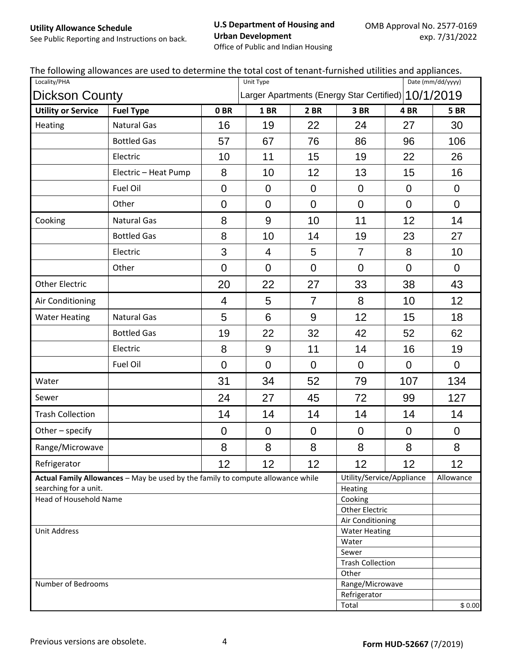#### **U.S Department of Housing and Urban Development**

See Public Reporting and Instructions on back.

Office of Public and Indian Housing

| Locality/PHA                                   | . Tonoming anomalities are asea to acteriumle the total cost or tenant rarmshea atmities and appliances.<br>Date (mm/dd/yyyy)<br>Unit Type |                                                     |                                  |                  |                         |                           |                  |
|------------------------------------------------|--------------------------------------------------------------------------------------------------------------------------------------------|-----------------------------------------------------|----------------------------------|------------------|-------------------------|---------------------------|------------------|
| <b>Dickson County</b>                          |                                                                                                                                            | Larger Apartments (Energy Star Certified) 10/1/2019 |                                  |                  |                         |                           |                  |
| <b>Utility or Service</b>                      | <b>Fuel Type</b>                                                                                                                           | 0 <sub>BR</sub>                                     | 1BR                              | 2 BR             | 3 BR                    | 4BR                       | <b>5 BR</b>      |
| Heating                                        | <b>Natural Gas</b>                                                                                                                         | 16                                                  | 19                               | 22               | 24                      | 27                        | 30               |
|                                                | <b>Bottled Gas</b>                                                                                                                         | 57                                                  | 67                               | 76               | 86                      | 96                        | 106              |
|                                                | Electric                                                                                                                                   | 10                                                  | 11                               | 15               | 19                      | 22                        | 26               |
|                                                | Electric - Heat Pump                                                                                                                       | 8                                                   | 10                               | 12               | 13                      | 15                        | 16               |
|                                                | Fuel Oil                                                                                                                                   | $\boldsymbol{0}$                                    | $\overline{0}$                   | $\overline{0}$   | $\overline{0}$          | $\overline{0}$            | $\overline{0}$   |
|                                                | Other                                                                                                                                      | $\overline{0}$                                      | $\overline{0}$                   | $\overline{0}$   | $\mathbf 0$             | $\overline{0}$            | $\overline{0}$   |
| Cooking                                        | <b>Natural Gas</b>                                                                                                                         | 8                                                   | 9                                | 10               | 11                      | 12                        | 14               |
|                                                | <b>Bottled Gas</b>                                                                                                                         | 8                                                   | 10                               | 14               | 19                      | 23                        | 27               |
|                                                | Electric                                                                                                                                   | 3                                                   | $\overline{4}$                   | 5                | $\overline{7}$          | 8                         | 10               |
|                                                | Other                                                                                                                                      | $\overline{0}$                                      | $\overline{0}$                   | $\overline{0}$   | $\overline{0}$          | $\overline{0}$            | $\mathbf 0$      |
| <b>Other Electric</b>                          |                                                                                                                                            | 20                                                  | 22                               | 27               | 33                      | 38                        | 43               |
| Air Conditioning                               |                                                                                                                                            | $\overline{4}$                                      | 5                                | $\overline{7}$   | 8                       | 10                        | 12               |
| <b>Water Heating</b>                           | <b>Natural Gas</b>                                                                                                                         | 5                                                   | $6\phantom{1}$                   | $9\,$            | 12                      | 15                        | 18               |
|                                                | <b>Bottled Gas</b>                                                                                                                         | 19                                                  | 22                               | 32               | 42                      | 52                        | 62               |
|                                                | Electric                                                                                                                                   | 8                                                   | $9\,$                            | 11               | 14                      | 16                        | 19               |
|                                                | Fuel Oil                                                                                                                                   | $\overline{0}$                                      | $\overline{0}$                   | $\Omega$         | $\overline{0}$          | $\overline{0}$            | $\mathbf 0$      |
| Water                                          |                                                                                                                                            | 31                                                  | 34                               | 52               | 79                      | 107                       | 134              |
| Sewer                                          |                                                                                                                                            | 24                                                  | 27                               | 45               | 72                      | 99                        | 127              |
| <b>Trash Collection</b>                        |                                                                                                                                            | 14                                                  | 14                               | 14               | 14                      | 14                        | 14               |
| Other - specify                                |                                                                                                                                            | $\boldsymbol{0}$                                    | $\boldsymbol{0}$                 | $\boldsymbol{0}$ | $\mathbf 0$             | $\boldsymbol{0}$          | $\boldsymbol{0}$ |
| Range/Microwave                                |                                                                                                                                            | 8                                                   | 8                                | 8                | 8                       | 8                         | $\,8\,$          |
| Refrigerator                                   |                                                                                                                                            | 12                                                  | 12                               | 12 <sub>2</sub>  | 12                      | 12                        | 12               |
|                                                | Actual Family Allowances - May be used by the family to compute allowance while                                                            |                                                     |                                  |                  |                         | Utility/Service/Appliance | Allowance        |
| searching for a unit.                          |                                                                                                                                            |                                                     |                                  |                  | Heating                 |                           |                  |
| Head of Household Name                         |                                                                                                                                            |                                                     | Cooking<br><b>Other Electric</b> |                  |                         |                           |                  |
|                                                |                                                                                                                                            |                                                     |                                  |                  | Air Conditioning        |                           |                  |
| <b>Unit Address</b>                            |                                                                                                                                            |                                                     |                                  |                  | <b>Water Heating</b>    |                           |                  |
| Water                                          |                                                                                                                                            |                                                     |                                  |                  |                         |                           |                  |
| Sewer                                          |                                                                                                                                            |                                                     |                                  |                  |                         |                           |                  |
|                                                |                                                                                                                                            |                                                     |                                  |                  | <b>Trash Collection</b> |                           |                  |
| Other<br>Number of Bedrooms<br>Range/Microwave |                                                                                                                                            |                                                     |                                  |                  |                         |                           |                  |
| Refrigerator                                   |                                                                                                                                            |                                                     |                                  |                  |                         |                           |                  |
|                                                |                                                                                                                                            |                                                     |                                  |                  | Total                   |                           | \$0.00           |